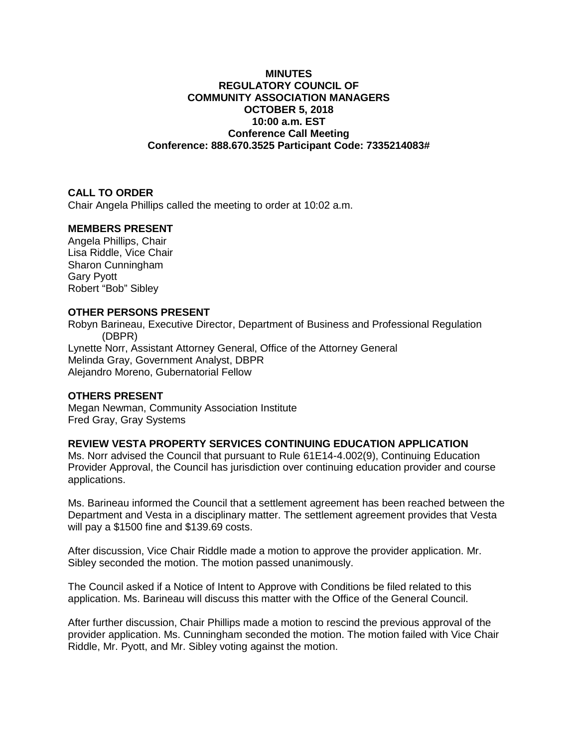## **MINUTES REGULATORY COUNCIL OF COMMUNITY ASSOCIATION MANAGERS OCTOBER 5, 2018 10:00 a.m. EST Conference Call Meeting Conference: 888.670.3525 Participant Code: 7335214083#**

# **CALL TO ORDER**

Chair Angela Phillips called the meeting to order at 10:02 a.m.

### **MEMBERS PRESENT**

Angela Phillips, Chair Lisa Riddle, Vice Chair Sharon Cunningham Gary Pyott Robert "Bob" Sibley

### **OTHER PERSONS PRESENT**

Robyn Barineau, Executive Director, Department of Business and Professional Regulation (DBPR) Lynette Norr, Assistant Attorney General, Office of the Attorney General Melinda Gray, Government Analyst, DBPR Alejandro Moreno, Gubernatorial Fellow

## **OTHERS PRESENT**

Megan Newman, Community Association Institute Fred Gray, Gray Systems

### **REVIEW VESTA PROPERTY SERVICES CONTINUING EDUCATION APPLICATION**

Ms. Norr advised the Council that pursuant to Rule 61E14-4.002(9), Continuing Education Provider Approval, the Council has jurisdiction over continuing education provider and course applications.

Ms. Barineau informed the Council that a settlement agreement has been reached between the Department and Vesta in a disciplinary matter. The settlement agreement provides that Vesta will pay a \$1500 fine and \$139.69 costs.

After discussion, Vice Chair Riddle made a motion to approve the provider application. Mr. Sibley seconded the motion. The motion passed unanimously.

The Council asked if a Notice of Intent to Approve with Conditions be filed related to this application. Ms. Barineau will discuss this matter with the Office of the General Council.

After further discussion, Chair Phillips made a motion to rescind the previous approval of the provider application. Ms. Cunningham seconded the motion. The motion failed with Vice Chair Riddle, Mr. Pyott, and Mr. Sibley voting against the motion.